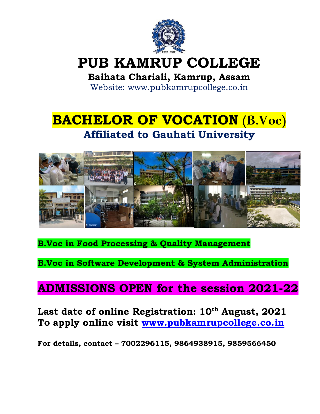

# **PUB KAMRUP COLLEGE**

### **Baihata Chariali, Kamrup, Assam**

Website: www.pubkamrupcollege.co.in

## **BACHELOR OF VOCATION (B.Voc) Affiliated to Gauhati University**



**B.Voc in Food Processing & Quality Management**

**B.Voc in Software Development & System Administration**

### **ADMISSIONS OPEN for the session 2021-22**

### **Last date of online Registration: 10th August, 2021 To apply online visit [www.pubkamrupcollege.co.in](http://www.pubkamrupcollege.co.in/)**

**For details, contact – 7002296115, 9864938915, 9859566450**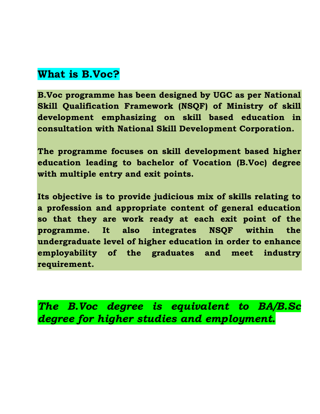### **What is B.Voc?**

**B.Voc programme has been designed by UGC as per National Skill Qualification Framework (NSQF) of Ministry of skill development emphasizing on skill based education in consultation with National Skill Development Corporation.**

**The programme focuses on skill development based higher education leading to bachelor of Vocation (B.Voc) degree with multiple entry and exit points.**

**Its objective is to provide judicious mix of skills relating to a profession and appropriate content of general education so that they are work ready at each exit point of the programme. It also integrates NSQF within the undergraduate level of higher education in order to enhance employability of the graduates and meet industry requirement.**

*The B.Voc degree is equivalent to BA/B.Sc degree for higher studies and employment.*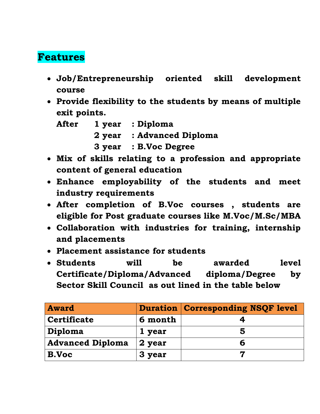### **Features**

- **Job/Entrepreneurship oriented skill development course**
- **Provide flexibility to the students by means of multiple exit points.**

| After | 1 year : Diploma          |
|-------|---------------------------|
|       | 2 year : Advanced Diploma |
|       | 3 year : B.Voc Degree     |

- **Mix of skills relating to a profession and appropriate content of general education**
- **Enhance employability of the students and meet industry requirements**
- **After completion of B.Voc courses , students are eligible for Post graduate courses like M.Voc/M.Sc/MBA**
- **Collaboration with industries for training, internship and placements**
- **Placement assistance for students**
- **Students will be awarded level Certificate/Diploma/Advanced diploma/Degree by Sector Skill Council as out lined in the table below**

| <b>Award</b>            |         | <b>Duration   Corresponding NSQF level</b> |
|-------------------------|---------|--------------------------------------------|
| <b>Certificate</b>      | 6 month |                                            |
| Diploma                 | 1 year  |                                            |
| <b>Advanced Diploma</b> | 2 year  |                                            |
| B.Voc                   | 3 year  |                                            |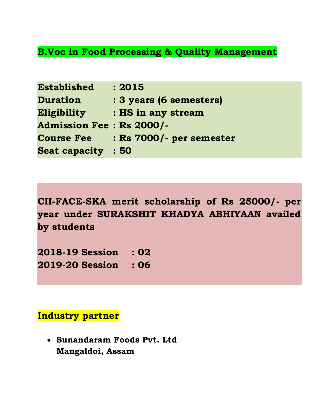#### **B.Voc in Food Processing & Quality Management**

| <b>Established</b>              | : 2015                   |
|---------------------------------|--------------------------|
| <b>Duration</b>                 | : 3 years (6 semesters)  |
| Eligibility                     | : HS in any stream       |
| <b>Admission Fee: Rs 2000/-</b> |                          |
| <b>Course Fee</b>               | : Rs 7000/- per semester |
| <b>Seat capacity</b>            | : 50                     |

**CII-FACE-SKA merit scholarship of Rs 25000/- per year under SURAKSHIT KHADYA ABHIYAAN availed by students** 

**2018-19 Session : 02 2019-20 Session : 06**

#### **Industry partner**

• **Sunandaram Foods Pvt. Ltd Mangaldoi, Assam**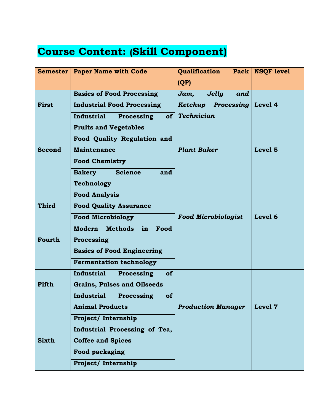## **Course Content: (Skill Component)**

|               | <b>Semester   Paper Name with Code</b>        | Qualification<br>Pack $ $   | <b>NSQF</b> level  |
|---------------|-----------------------------------------------|-----------------------------|--------------------|
|               |                                               | (QP)                        |                    |
|               | <b>Basics of Food Processing</b>              | <b>Jelly</b><br>Jam,<br>and |                    |
| <b>First</b>  | <b>Industrial Food Processing</b>             | Ketchup Processing Level 4  |                    |
|               | $of \sqrt{2}IndustrialProcessing$             | <b>Technician</b>           |                    |
|               | <b>Fruits and Vegetables</b>                  |                             |                    |
|               | Food Quality Regulation and                   |                             |                    |
| <b>Second</b> | <b>Maintenance</b>                            | <b>Plant Baker</b>          | Level <sub>5</sub> |
|               | <b>Food Chemistry</b>                         |                             |                    |
|               | <b>Bakery</b><br><b>Science</b><br>and        |                             |                    |
|               | Technology                                    |                             |                    |
|               | <b>Food Analysis</b>                          |                             |                    |
| Third         | <b>Food Quality Assurance</b>                 |                             |                    |
|               | <b>Food Microbiology</b>                      | <b>Food Microbiologist</b>  | Level 6            |
|               | <b>Modern</b><br><b>Methods</b><br>Food<br>in |                             |                    |
| Fourth        | Processing                                    |                             |                    |
|               | <b>Basics of Food Engineering</b>             |                             |                    |
|               | <b>Fermentation technology</b>                |                             |                    |
|               | <b>of</b><br><b>Industrial</b><br>Processing  |                             |                    |
| Fifth         | <b>Grains, Pulses and Oilseeds</b>            |                             |                    |
|               | <b>Industrial</b><br>Processing<br><b>of</b>  |                             |                    |
|               | <b>Animal Products</b>                        | <b>Production Manager</b>   | Level 7            |
|               | Project/Internship                            |                             |                    |
|               | Industrial Processing of Tea,                 |                             |                    |
| <b>Sixth</b>  | <b>Coffee and Spices</b>                      |                             |                    |
|               | <b>Food packaging</b>                         |                             |                    |
|               | Project/ Internship                           |                             |                    |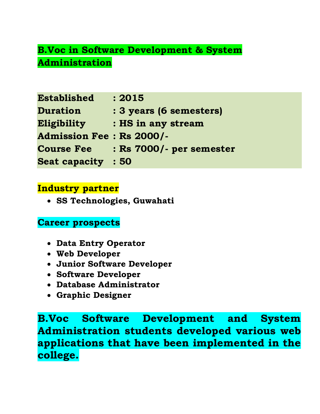### **B.Voc in Software Development & System Administration**

| <b>Established</b>              | : 2015                   |
|---------------------------------|--------------------------|
| <b>Duration</b>                 | : 3 years (6 semesters)  |
| Eligibility                     | : HS in any stream       |
| <b>Admission Fee: Rs 2000/-</b> |                          |
| <b>Course Fee</b>               | : Rs 7000/- per semester |
| <b>Seat capacity</b>            | : 50                     |

#### **Industry partner**

• **SS Technologies, Guwahati**

#### **Career prospects**

- **Data Entry Operator**
- **Web Developer**
- **Junior Software Developer**
- **Software Developer**
- **Database Administrator**
- **Graphic Designer**

**B.Voc Software Development and System Administration students developed various web applications that have been implemented in the college.**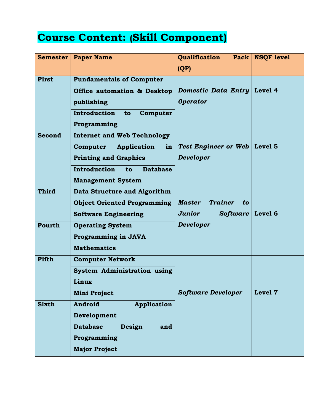## **Course Content: (Skill Component)**

|               | <b>Semester   Paper Name</b>                 | <b>Qualification</b>           | Pack   NSOF level |
|---------------|----------------------------------------------|--------------------------------|-------------------|
|               |                                              | (QP)                           |                   |
| <b>First</b>  | <b>Fundamentals of Computer</b>              |                                |                   |
|               | <b>Office automation &amp; Desktop</b>       | Domestic Data Entry Level 4    |                   |
|               | publishing                                   | <b>Operator</b>                |                   |
|               | Introduction<br>to<br>Computer               |                                |                   |
|               | Programming                                  |                                |                   |
| <b>Second</b> | <b>Internet and Web Technology</b>           |                                |                   |
|               | Computer<br>Application<br>in                | Test Engineer or Web   Level 5 |                   |
|               | <b>Printing and Graphics</b>                 | Developer                      |                   |
|               | <b>Introduction</b><br><b>Database</b><br>to |                                |                   |
|               | <b>Management System</b>                     |                                |                   |
| <b>Third</b>  | Data Structure and Algorithm                 |                                |                   |
|               | <b>Object Oriented Programming</b>           | Master<br><b>Trainer</b><br>to |                   |
|               | <b>Software Engineering</b>                  | Junior<br>Software Level 6     |                   |
| Fourth        | <b>Operating System</b>                      | Developer                      |                   |
|               | <b>Programming in JAVA</b>                   |                                |                   |
|               | <b>Mathematics</b>                           |                                |                   |
| Fifth         | <b>Computer Network</b>                      |                                |                   |
|               | <b>System Administration using</b>           |                                |                   |
|               | Linux                                        |                                |                   |
|               | <b>Mini Project</b>                          | <b>Software Developer</b>      | Level 7           |
| <b>Sixth</b>  | Android<br>Application                       |                                |                   |
|               | Development                                  |                                |                   |
|               | <b>Database</b><br>Design<br>and             |                                |                   |
|               | Programming                                  |                                |                   |
|               | <b>Major Project</b>                         |                                |                   |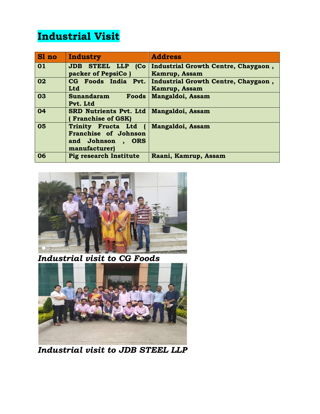## **Industrial Visit**

| Sl no | <b>Industry</b>                                                                                                    | <b>Address</b>                                                    |
|-------|--------------------------------------------------------------------------------------------------------------------|-------------------------------------------------------------------|
| 01    | <b>JDB STEEL LLP</b><br>packer of PepsiCo)                                                                         | (Co   Industrial Growth Centre, Chaygaon,<br><b>Kamrup, Assam</b> |
| 02    | CG Foods India Pvt.<br>Ltd                                                                                         | Industrial Growth Centre, Chaygaon,<br><b>Kamrup, Assam</b>       |
| 03    | Sunandaram<br>Foods<br>Pvt. Ltd                                                                                    | <b>Mangaldoi, Assam</b>                                           |
| 04    | <b>SRD Nutrients Pvt. Ltd</b><br><b>Franchise of GSK)</b>                                                          | Mangaldoi, Assam                                                  |
| 05    | Trinity Fructa Ltd (<br>Franchise of Johnson<br>and Johnson<br><b>ORS</b><br>$\ddot{\phantom{a}}$<br>manufacturer) | Mangaldoi, Assam                                                  |
| 06    | <b>Pig research Institute</b>                                                                                      | Raani, Kamrup, Assam                                              |



*Industrial visit to CG Foods* 



*Industrial visit to JDB STEEL LLP*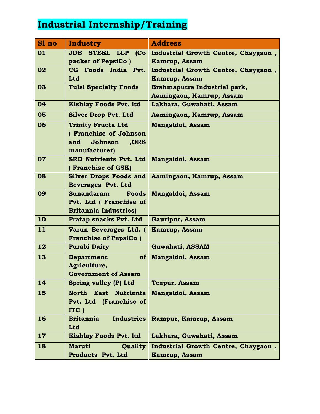### **Industrial Internship/Training**

| Sl no     | <b>Industry</b>                                | <b>Address</b>                      |
|-----------|------------------------------------------------|-------------------------------------|
| 01        | Co <br><b>JDB STEEL LLP</b>                    | Industrial Growth Centre, Chaygaon, |
|           | packer of PepsiCo)                             | <b>Kamrup, Assam</b>                |
| 02        | CG Foods India Pvt.                            | Industrial Growth Centre, Chaygaon, |
|           | <b>Ltd</b>                                     | <b>Kamrup, Assam</b>                |
| 03        | <b>Tulsi Specialty Foods</b>                   | Brahmaputra Industrial park,        |
|           |                                                | Aamingaon, Kamrup, Assam            |
| 04        | <b>Kishlay Foods Pvt. ltd</b>                  | Lakhara, Guwahati, Assam            |
| 05        | <b>Silver Drop Pvt. Ltd</b>                    | Aamingaon, Kamrup, Assam            |
| 06        | <b>Trinity Fructa Ltd</b>                      | Mangaldoi, Assam                    |
|           | (Franchise of Johnson                          |                                     |
|           | and<br>Johnson<br>,ORS                         |                                     |
| 07        | manufacturer)<br><b>SRD Nutrients Pvt. Ltd</b> |                                     |
|           | (Franchise of GSK)                             | <b>Mangaldoi, Assam</b>             |
| 08        | <b>Silver Drops Foods and</b>                  | Aamingaon, Kamrup, Assam            |
|           | <b>Beverages Pvt. Ltd</b>                      |                                     |
| 09        | <b>Sunandaram</b><br>Foods                     | <b>Mangaldoi, Assam</b>             |
|           | Pvt. Ltd ( Franchise of                        |                                     |
|           | <b>Britannia Industries</b> )                  |                                     |
| 10        | Pratap snacks Pvt. Ltd                         | <b>Gauripur, Assam</b>              |
| 11        | Varun Beverages Ltd. (                         | <b>Kamrup, Assam</b>                |
|           | <b>Franchise of PepsiCo</b> )                  |                                     |
| 12        | <b>Purabi Dairy</b>                            | Guwahati, ASSAM                     |
| 13        | <b>Department</b><br><b>of</b>                 | Mangaldoi, Assam                    |
|           | Agriculture,                                   |                                     |
|           | <b>Government of Assam</b>                     |                                     |
| 14        | Spring valley (P) Ltd                          | <b>Tezpur, Assam</b>                |
| 15        | North East<br><b>Nutrients</b>                 | <b>Mangaldoi, Assam</b>             |
|           | Pvt. Ltd (Franchise of                         |                                     |
|           | ITC)                                           |                                     |
| 16        | <b>Industries</b><br><b>Britannia</b>          | Rampur, Kamrup, Assam               |
|           | Ltd                                            |                                     |
| <b>17</b> | <b>Kishlay Foods Pvt. ltd</b>                  | Lakhara, Guwahati, Assam            |
| 18        | <b>Maruti</b><br><b>Quality</b>                | Industrial Growth Centre, Chaygaon, |
|           | Products Pvt. Ltd                              | <b>Kamrup, Assam</b>                |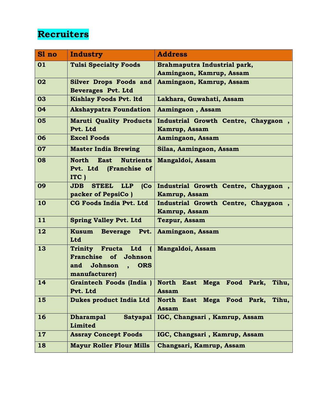### **Recruiters**

| Sl no | <b>Industry</b>                                      | <b>Address</b>                                                      |
|-------|------------------------------------------------------|---------------------------------------------------------------------|
| 01    | <b>Tulsi Specialty Foods</b>                         | Brahmaputra Industrial park,                                        |
|       |                                                      | Aamingaon, Kamrup, Assam                                            |
| 02    | <b>Silver Drops Foods and</b>                        | Aamingaon, Kamrup, Assam                                            |
|       | <b>Beverages Pvt. Ltd</b>                            |                                                                     |
| 03    | <b>Kishlay Foods Pvt. ltd</b>                        | Lakhara, Guwahati, Assam                                            |
| 04    | <b>Akshaypatra Foundation</b>                        | Aamingaon, Assam                                                    |
| 05    | <b>Maruti Quality Products</b>                       | Industrial Growth Centre, Chaygaon,                                 |
|       | Pvt. Ltd                                             | Kamrup, Assam                                                       |
| 06    | <b>Excel Foods</b>                                   | Aamingaon, Assam                                                    |
| 07    | <b>Master India Brewing</b>                          | Silaa, Aamingaon, Assam                                             |
| 08    | <b>North</b><br><b>East</b><br><b>Nutrients</b>      | Mangaldoi, Assam                                                    |
|       | (Franchise of<br>Pvt. Ltd                            |                                                                     |
|       | ITC)                                                 |                                                                     |
| 09    | <b>STEEL</b><br>(Co)<br>JDB<br><b>LLP</b>            | Industrial Growth Centre, Chaygaon,                                 |
| 10    | packer of PepsiCo)<br><b>CG Foods India Pvt. Ltd</b> | <b>Kamrup, Assam</b>                                                |
|       |                                                      | Industrial Growth Centre, Chaygaon,<br><b>Kamrup, Assam</b>         |
| 11    | <b>Spring Valley Pvt. Ltd</b>                        | <b>Tezpur, Assam</b>                                                |
| 12    | <b>Kusum Beverage</b><br>Pvt.                        | Aamingaon, Assam                                                    |
|       | Ltd                                                  |                                                                     |
| 13    | Trinity Fructa Ltd<br>$\sqrt{ }$                     | <b>Mangaldoi, Assam</b>                                             |
|       | <b>Franchise</b><br>of<br>Johnson                    |                                                                     |
|       | Johnson<br><b>ORS</b><br>and<br>$\ddot{\phantom{0}}$ |                                                                     |
|       | manufacturer)                                        |                                                                     |
| 14    | Graintech Foods (India)                              | Tihu<br><b>North</b><br><b>East</b><br><b>Mega</b><br>Park,<br>Food |
|       | Pvt. Ltd                                             | <b>Assam</b>                                                        |
| 15    | Dukes product India Ltd                              | East Mega Food Park,<br><b>North</b><br>Tihu,<br><b>Assam</b>       |
| 16    | <b>Dharampal</b><br><b>Satyapal</b>                  | IGC, Changsari, Kamrup, Assam                                       |
|       | Limited                                              |                                                                     |
| 17    | <b>Assray Concept Foods</b>                          | IGC, Changsari, Kamrup, Assam                                       |
| 18    | <b>Mayur Roller Flour Mills</b>                      | Changsari, Kamrup, Assam                                            |